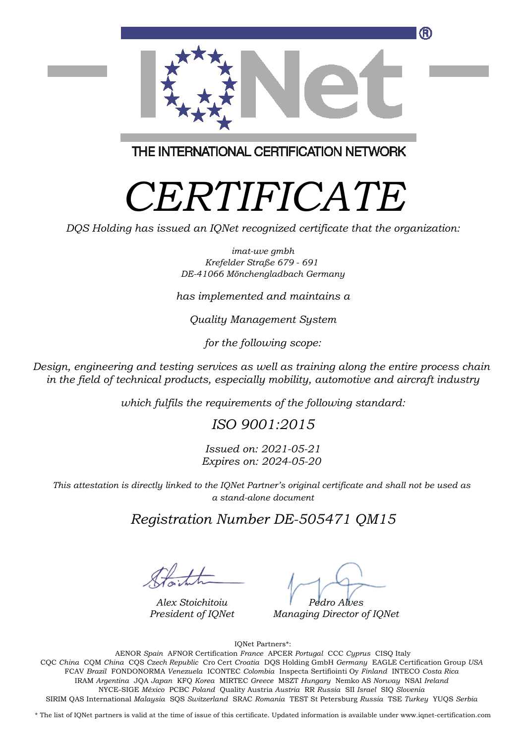

THE INTERNATIONAL CERTIFICATION NETWORK

# *CERTIFICATE*

*DQS Holding has issued an IQNet recognized certificate that the organization:*

*imat-uve gmbh Krefelder Straße 679 - 691 DE-41066 Mönchengladbach Germany*

*has implemented and maintains a*

*Quality Management System*

*for the following scope:*

*Design, engineering and testing services as well as training along the entire process chain in the field of technical products, especially mobility, automotive and aircraft industry*

*which fulfils the requirements of the following standard:*

#### *ISO 9001:2015*

*Issued on: 2021-05-21 Expires on: 2024-05-20*

*This attestation is directly linked to the IQNet Partner's original certificate and shall not be used as a stand-alone document*

#### *Registration Number DE-505471 QM15*

*Alex Stoichitoiu President of IQNet*

*Pedro Alves*

*Managing Director of IQNet*

IQNet Partners\*:

This annex is only valid in connection with the above-mentioned certificate. FCAV *Brazil* FONDONORMA *Venezuela* ICONTEC *Colombia* Inspecta Sertifiointi Oy *Finland* INTECO *Costa Rica* AENOR *Spain* AFNOR Certification *France* APCER *Portugal* CCC *Cyprus* CISQ Italy CQC *China* CQM *China* CQS *Czech Republic* Cro Cert *Croatia* DQS Holding GmbH *Germany* EAGLE Certification Group *USA* IRAM *Argentina* JQA *Japan* KFQ *Korea* MIRTEC *Greece* MSZT *Hungary* Nemko AS *Norway* NSAI *Ireland* NYCE-SIGE *México* PCBC *Poland* Quality Austria *Austria* RR *Russia* SII *Israel* SIQ *Slovenia* SIRIM QAS International *Malaysia* SQS *Switzerland* SRAC *Romania* TEST St Petersburg *Russia* TSE *Turkey* YUQS *Serbia*

\* The list of IQNet partners is valid at the time of issue of this certificate. Updated information is available under www.iqnet-certification.com